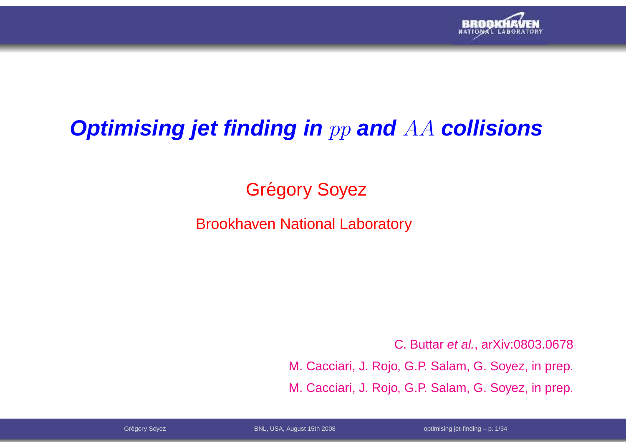

# **Optimising jet finding in** pp **and** AA **collisions**

# Grégory Soyez

### Brookhaven National Laboratory

C. Buttar et al., arXiv:0803.0678M. Cacciari, J. Rojo, G.P. Salam, G. Soyez, in prep. M. Cacciari, J. Rojo, G.P. Salam, G. Soyez, in prep.

Grégory Soyez BNL, USA, August 15th 2008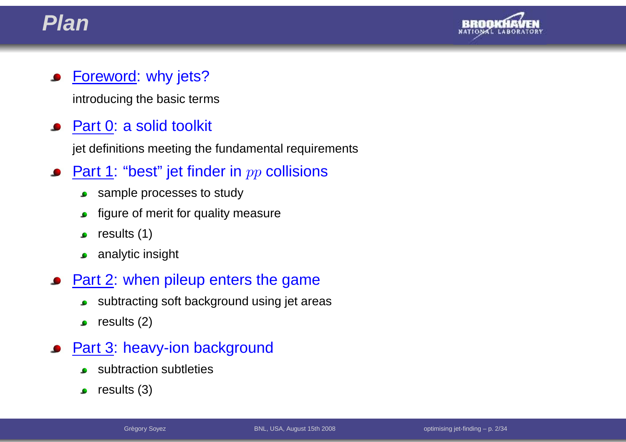



### Foreword: why jets?

introducing the basic terms

### Part 0: <sup>a</sup> solid toolkit

jet definitions meeting the fundamental requirements

- <u>Part 1</u>: "best" jet finder in  $pp$  collisions
	- sample processes to study $\bullet$
	- figure of merit for quality measure $\bullet$
	- results (1) $\bullet$
	- analytic insight  $\bullet$
- **Part 2: when pileup enters the game** 
	- subtracting soft background using jet areas $\bullet$
	- results (2) $\bullet$
- Part 3: heavy-ion background
	- subtraction subtleties
	- results (3) $\bullet$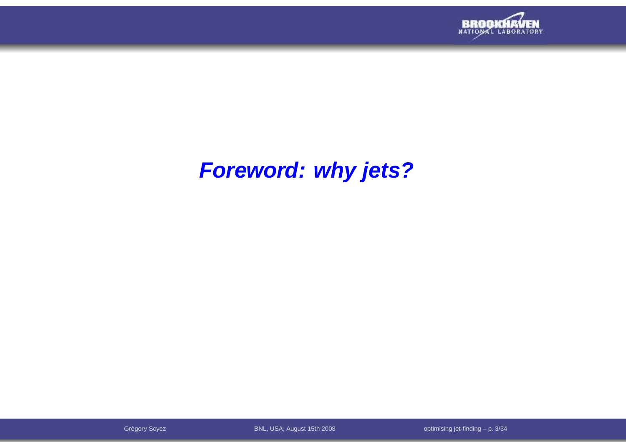

# **Foreword: why jets?**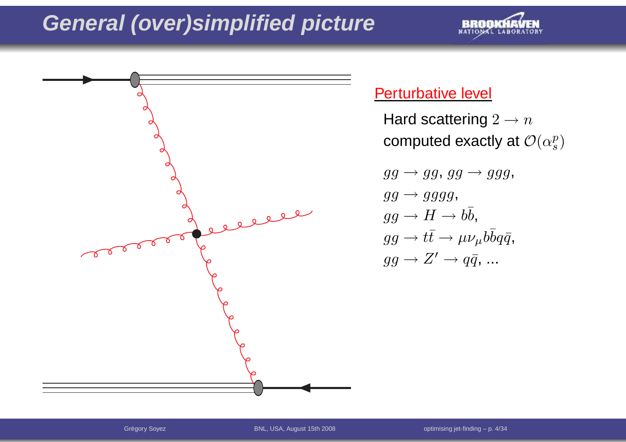



### Perturbative level

Hard scattering  $2\to n$ computed exactly at  $\mathcal{O}(\alpha_s^p)$  $gg\to gg,\, gg\to ggg,$  $ggg\rightarrow gggg,$  $gg\rightarrow H\rightarrow b\bar{b},$  $gg\to t\bar t\to\mu\nu_\mu b\bar b q\bar q,$  $gg\rightarrow Z'\rightarrow q\bar{q},\,...$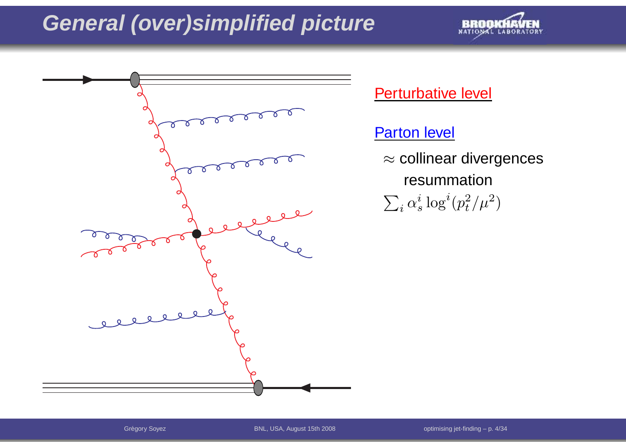



Perturbative level

Parton level

 $\approx$  collinear divergences resummation  $\sum_i \alpha$  $\frac{i}{s}\log^i(p$ 2 $t^2/\mu^2$  $^{2})$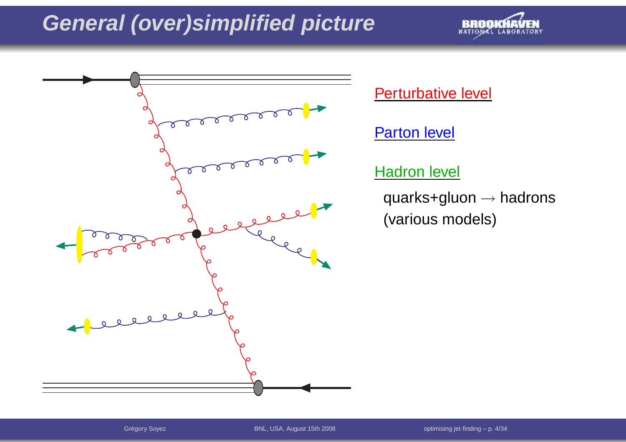



Grégory Soyez BNL, USA, August 15th 2008

optimising jet-finding  $-$  p. 4/34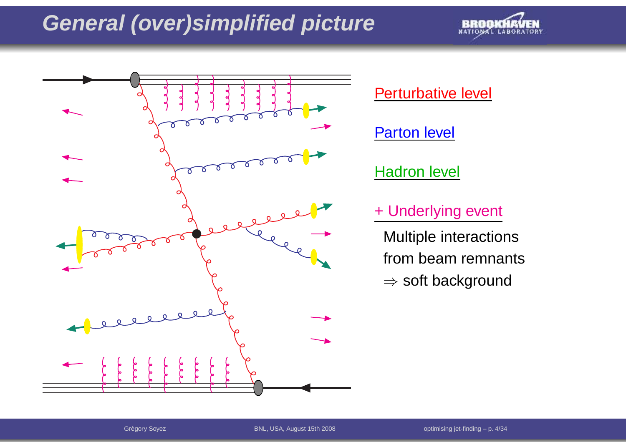



Perturbative level

Parton level

**Hadron level** 

+ Underlying event

Multiple interactionsfrom beam remnants $\Rightarrow$  soft background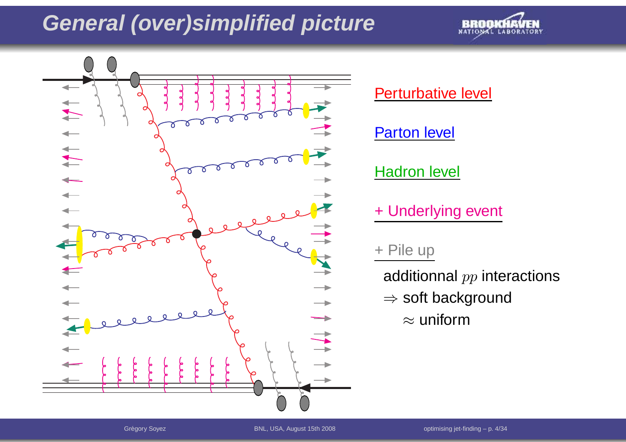



Perturbative level

Parton level

**Hadron level** 

+ Underlying event

#### + Pile up

additionnal  $pp$  interactions

- ⇒ soft background<br>متعققین
	- $\approx$  uniform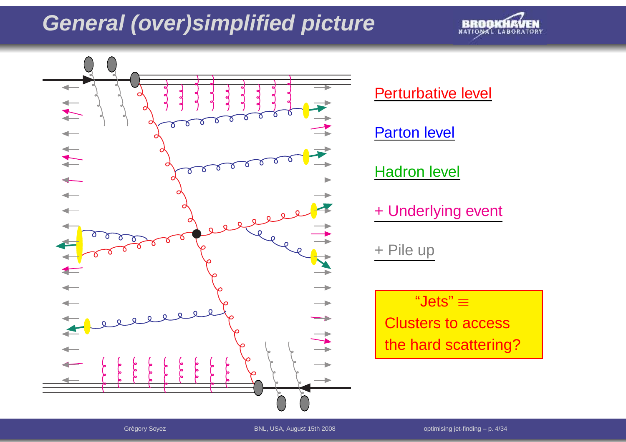

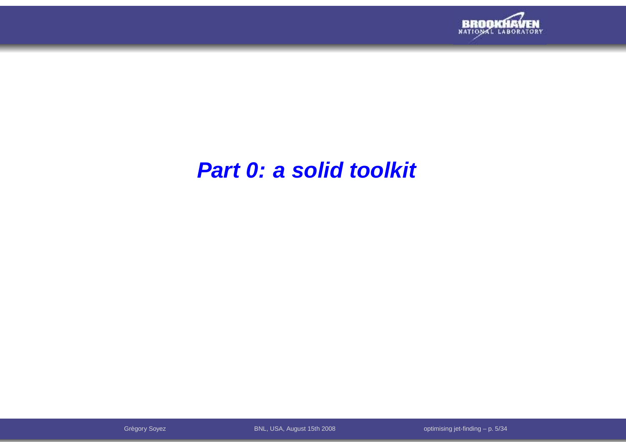

## **Part 0: <sup>a</sup> solid toolkit**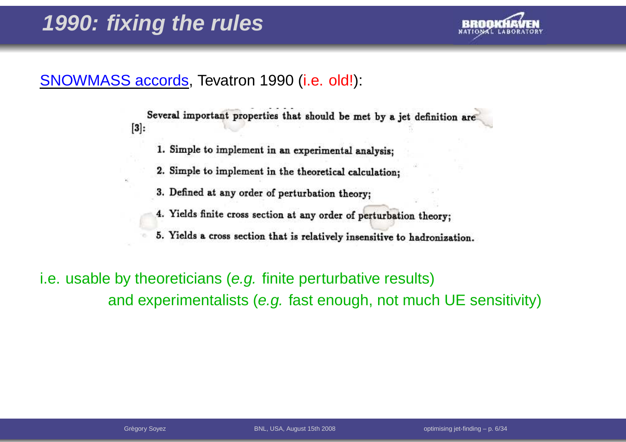

### SNOWMASS accords, Tevatron 1990 (i.e. old!):

Several important properties that should be met by a jet definition are  $[3]$ :

- 1. Simple to implement in an experimental analysis;
- 2. Simple to implement in the theoretical calculation;
- 3. Defined at any order of perturbation theory:
- 4. Yields finite cross section at any order of perturbation theory;
- 5. Yields a cross section that is relatively insensitive to hadronization.

i.e. usable by theoreticians (e.g. finite perturbative results)and experimentalists (e.g. fast enough, not much UE sensitivity)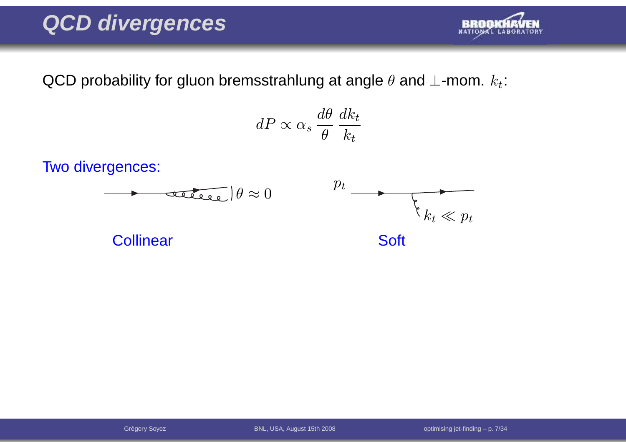# **QCD divergences**



QCD probability for gluon bremsstrahlung at angle  $\theta$  and  $\bot$ -mom.  $k_t$ :

$$
dP \propto \alpha_s \frac{d\theta}{\theta} \frac{dk_t}{k_t}
$$

Two divergences:

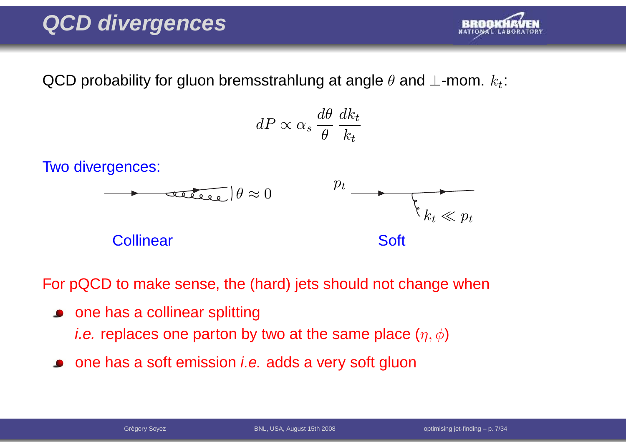# **QCD divergences**



QCD probability for gluon bremsstrahlung at angle  $\theta$  and  $\bot$ -mom.  $k_t$ :

$$
dP \propto \alpha_s \frac{d\theta}{\theta} \frac{dk_t}{k_t}
$$

Two divergences:



For pQCD to make sense, the (hard) jets should not change when

- one has a collinear splitting *i.e.* replaces one parton by two at the same place  $(\eta,\phi)$
- one has a soft emission *i.e.* adds a very soft gluon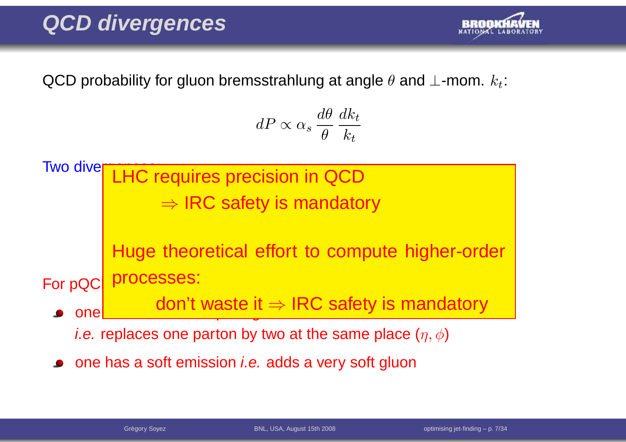# **QCD divergences**



QCD probability for gluon bremsstrahlung at angle  $\theta$  and  $\bot$ -mom.  $k_t$ :

$$
dP \propto \alpha_s \frac{d\theta}{\theta} \frac{dk_t}{k_t}
$$



one has a soft emission *i.e.* adds a very soft gluon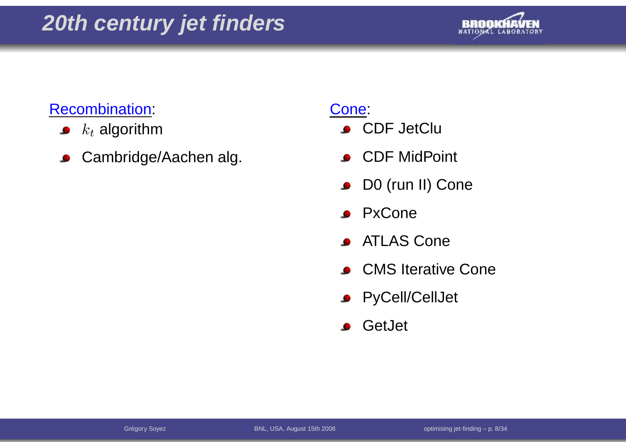

### Recombination:

- $k_t$  algorithm  $\bullet$
- Cambridge/Aachen alg.  $\bullet$

### Cone:

- **CDF JetClu**
- CDF MidPoint
- D0 (run II) Cone  $\bullet$
- **PxCone**
- ATLAS Cone $\bullet$
- **CMS** Iterative Cone
- **•** PyCell/CellJet
- GetJet $\bullet$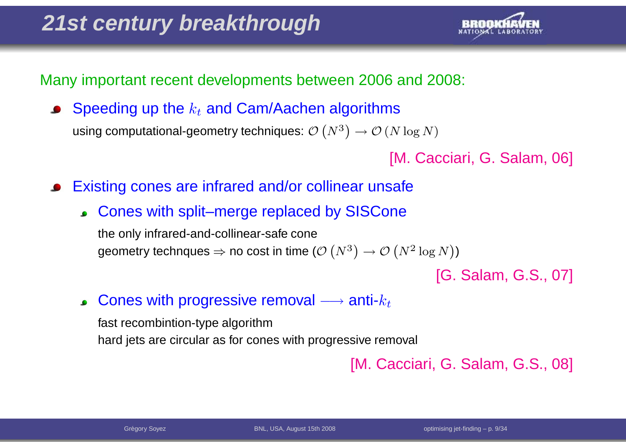

Many important recent developments between 2006 and 2008:

Speeding up the  $k_t$  and Cam/Aachen algorithms using computational-geometry techniques:  $\mathcal{O}\left(N^{3}\right)$  $\left( \begin{matrix} 3 \end{matrix} \right) \rightarrow \mathcal{O} \left( N \log N \right)$ 

[M. Cacciari, G. Salam, 06]

- Existing cones are infrared and/or collinear unsafe
	- Cones with split–merge replaced by SISCone

the only infrared-and-collinear-safe conegeometry technques  $\Rightarrow$  no cost in time ( $\mathcal{O} \left( N^3 \right)$  $\mathcal{O}\left(N^2\log N\right))$ 

[G. Salam, G.S., 07]

Cones with progressive removal  $\longrightarrow$  anti- $k_t$  $\bullet$ 

fast recombintion-type algorithmhard jets are circular as for cones with progressive removal

[M. Cacciari, G. Salam, G.S., 08]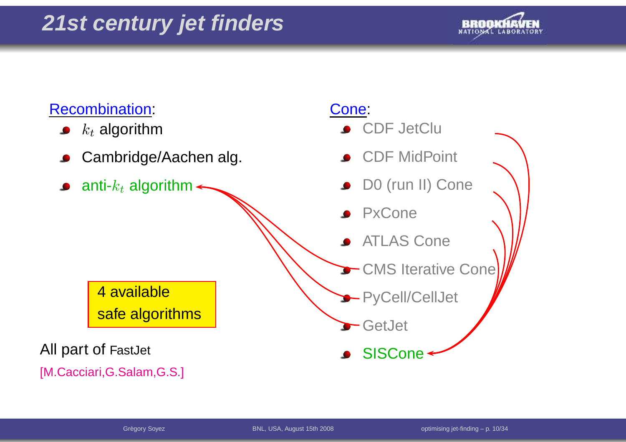

### Recombination:

- $k_t$  algorithm
- Cambridge/Aachen alg.
- anti- $k_t$  algorithm

### Cone:

- **CDF JetClu**
- CDF MidPoint
- D0 (run II) Cone
- PxCone
- ATLAS Cone
- CMS Iterative Cone
- PyCell/CellJet
- GetJet
- **SISCone**

4 availablesafe algorithms

aAll part of FastJet

[M.Cacciari,G.Salam,G.S.]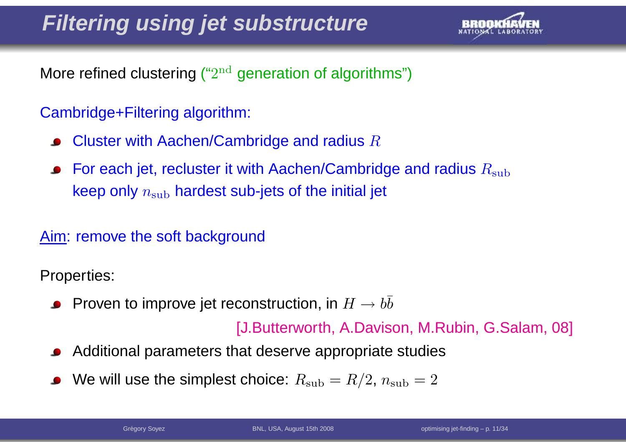

More refined clustering (" $2^{\rm nd}$  generation of algorithms")

### Cambridge+Filtering algorithm:

- Cluster with Aachen/Cambridge and radius  $R$
- For each jet, recluster it with Aachen/Cambridge and radius  $R_{\rm sub}$ keep only  $n_{\rm sub}$  hardest sub-jets of the initial jet

### Aim: remove the soft background

Properties:

Proven to improve jet reconstruction, in  $H\to b\bar b$ 

[J.Butterworth, A.Davison, M.Rubin, G.Salam, 08]

- Additional parameters that deserve appropriate studies
- We will use the simplest choice:  $R_{\rm sub} = R/2$ ,  $n_{\rm sub} = 2$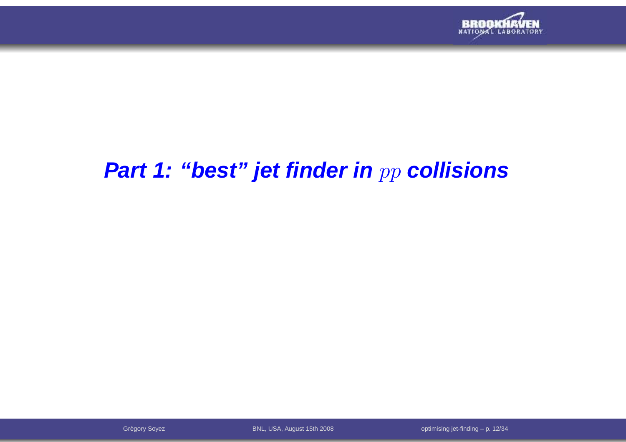

# **Part 1: "best" jet finder in** pp **collisions**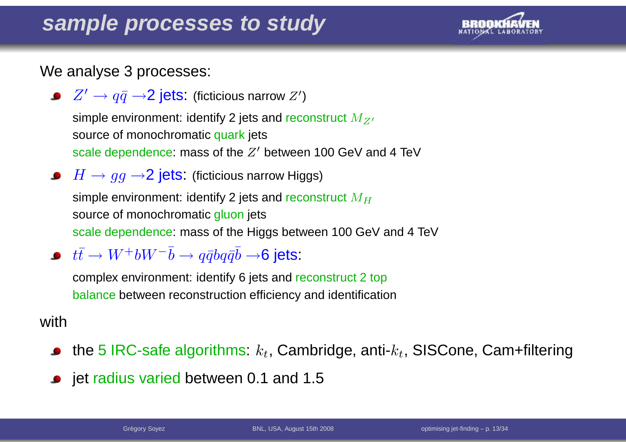### **sample processes to study**



We analyse 3 processes:

 $Z^\prime \rightarrow q \bar{q} \rightarrow$ 2 j $\epsilon$ ts: (ficticious narrow  $Z^\prime$ )

simple environment: identify 2 jets and reconstruct  $M_{Z^{\prime}}$ source of monochromatic <mark>quark</mark> jets scale dependence: mass of the  $Z^\prime$  between 100 GeV and 4 TeV

- $H\to gg \to$ 2 jets: (ficticious narrow Higgs) simple environment: identify 2 jets and reconstruct  $M_H$ source of monochromatic <mark>gluon</mark> jets scale dependence: mass of the Higgs between 100 GeV and <sup>4</sup> TeV
- $t\bar{t}\to W^+bW^-\bar{b}\to q\bar{q}b q\bar{q}\bar{b}\to$ 6 jets:

 complex environment: identify 6 jets and reconstruct <sup>2</sup> topbalance between reconstruction efficiency and identification

#### with

- the 5 IRC-safe algorithms:  $k_t$ , Cambridge, anti- $k_t$ , SISCone, Cam+filtering
- jet radius varied between 0.1 and 1.5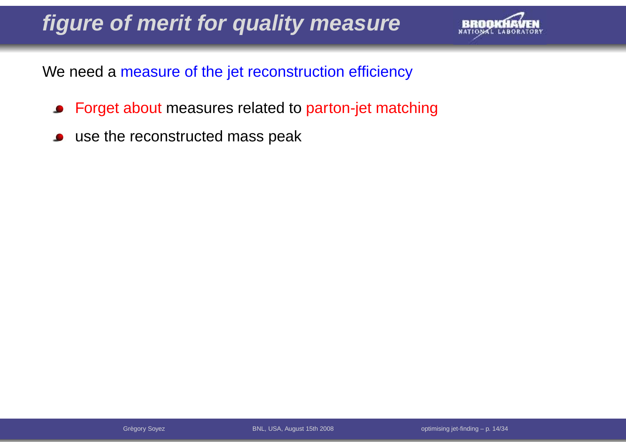# **figure of merit for quality measure**



We need <sup>a</sup> measure of the jet reconstruction efficiency

- Forget about measures related to parton-jet matching  $\bullet$
- use the reconstructed mass peak $\bullet$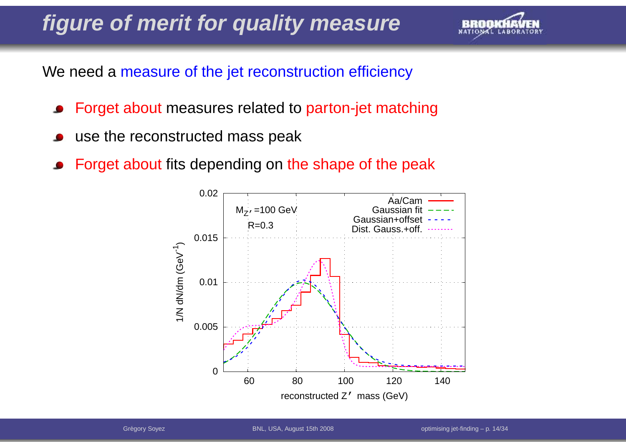# **figure of merit for quality measure**



We need <sup>a</sup> measure of the jet reconstruction efficiency

- Forget about measures related to parton-jet matching
- use the reconstructed mass peak
- Forget about fits depending on the shape of the peak

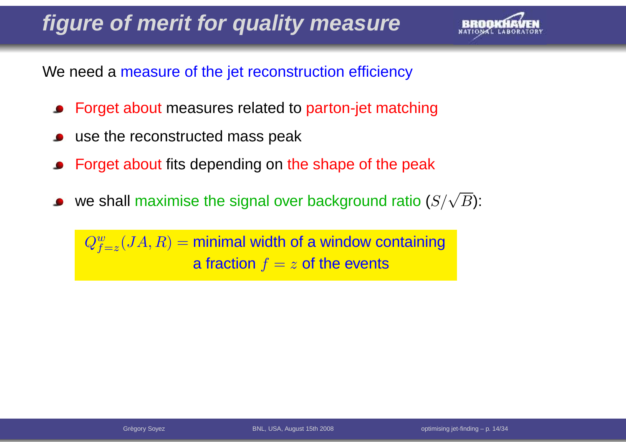# **figure of merit for quality measure**



We need <sup>a</sup> measure of the jet reconstruction efficiency

- Forget about measures related to parton-jet matching
- use the reconstructed mass peak
- Forget about fits depending on the shape of the peak
- we shall maximise the signal over background ratio ( $S/\sqrt{B}$ ):

 $Q_{\textbf{\textit{f}}}^{w}$  $f^w_{f=z}(JA,R)=$  minimal width of a window containing a fraction  $f=z$  of the events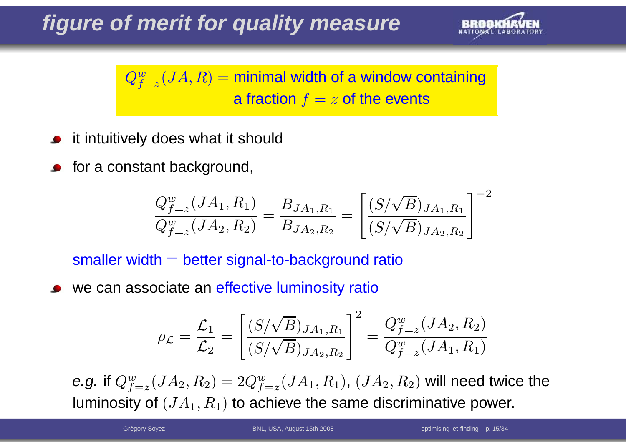

 $Q^w_f$  $f^w_{f=z}(JA,R)=$  minimal width of a window containing a fraction  $f=z$  of the events

- it intuitively does what it should
- for <sup>a</sup> constant background,

$$
\frac{Q_{f=z}^w(JA_1, R_1)}{Q_{f=z}^w(JA_2, R_2)} = \frac{B_{JA_1, R_1}}{B_{JA_2, R_2}} = \left[\frac{(S/\sqrt{B})_{JA_1, R_1}}{(S/\sqrt{B})_{JA_2, R_2}}\right]^{-2}
$$

 $\mathsf{smaller}\ \mathsf{width} \equiv \mathsf{better}\ \mathsf{signal}\text{-to}\text{-background}\ \mathsf{ratio}$ 

we can associate an <mark>effective luminosity ratio</mark>

$$
\rho_{\mathcal{L}} = \frac{\mathcal{L}_1}{\mathcal{L}_2} = \left[ \frac{(S/\sqrt{B})_{JA_1, R_1}}{(S/\sqrt{B})_{JA_2, R_2}} \right]^2 = \frac{Q_{f=z}^w(JA_2, R_2)}{Q_{f=z}^w(JA_1, R_1)}
$$

e.g. if  $Q_{f}^w$ luminosity of  $(JA_1,R_1)$  to achieve the same discriminative power.  $_{f=z}^w(JA_2,R_2)=2Q_{f^z}^w$  $_{f=z}^{w}(JA_1,R_1),\,(JA_2,R_2)$  will need twice the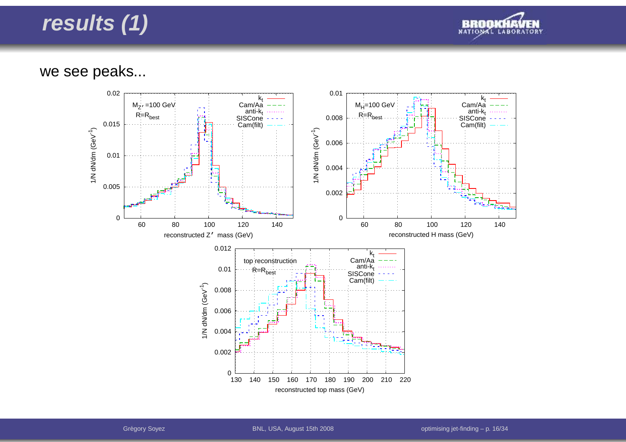

#### we see peaks...

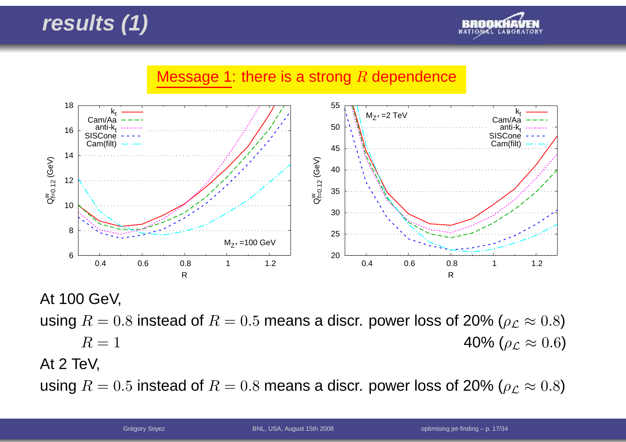



At 100 GeV,

using  $R=0.8$  instead of  $R=0.5$  means a discr. power loss of 20% ( $\rho_{\mathcal{L}}\approx 0.8$ )

 $R=1$  $R = 1$  40% ( $\rho_{\mathcal{L}} \approx$ 40% ( $\rho_{\cal L} \approx 0.6$ )

At 2 TeV,

using  $R=0.5$  instead of  $R=0.8$  means a discr. power loss of 20% ( $\rho_{\mathcal{L}}\approx 0.8$ )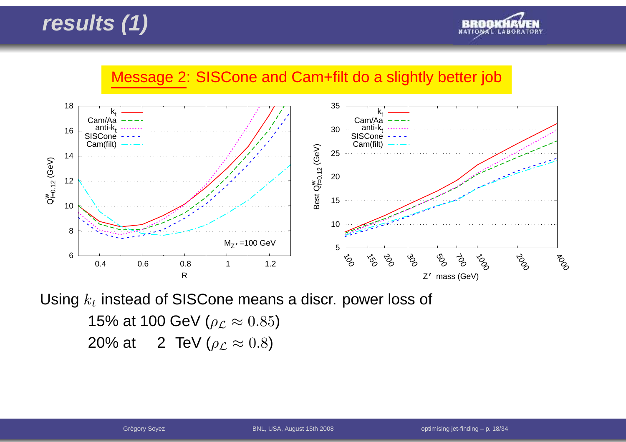

#### Message 2: SISCone and Cam+filt do <sup>a</sup> slightly better job



Using  $k_t$  instead of SISCone means a discr. power loss of

15% at 100 GeV ( $\rho_{\cal L}\approx 0.85)$ 20% at  $12$  TeV ( $\rho_{\cal L} \approx 0.8$ )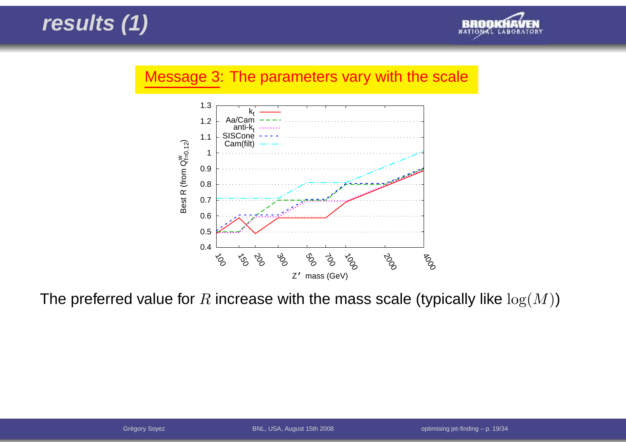

#### Message 3: The parameters vary with the scale



The preferred value for  $R$  increase with the mass scale (typically like  $\log(M)$ )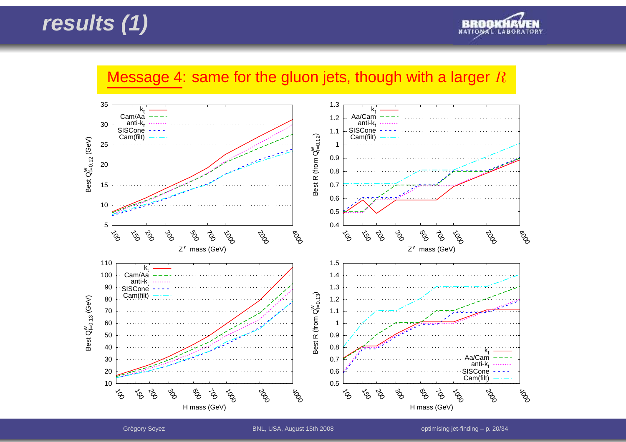

### Message 4: same for the gluon jets, though with a larger  $R$



Grégory Soyez **BNL, USA, August 15th 2008** optimising jet-finding – p. 20/34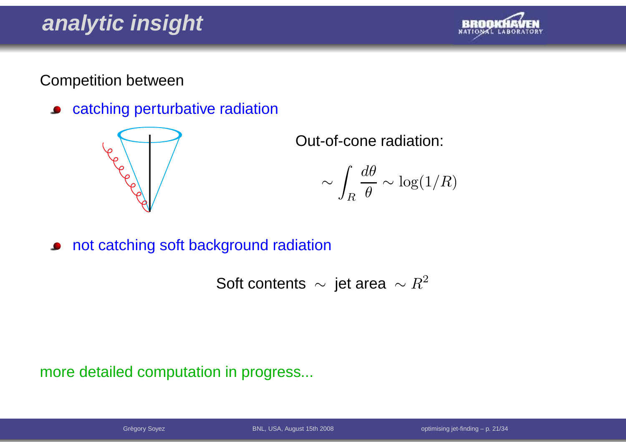# **analytic insight**



Competition between

catching perturbative radiation $\bullet$ 



Out-of-cone radiation:

$$
\sim \int_R \frac{d\theta}{\theta} \sim \log(1/R)
$$

not catching soft background radiation

Soft contents  $\sim$  jet area  $\sim R^2$ 

more detailed computation in progress...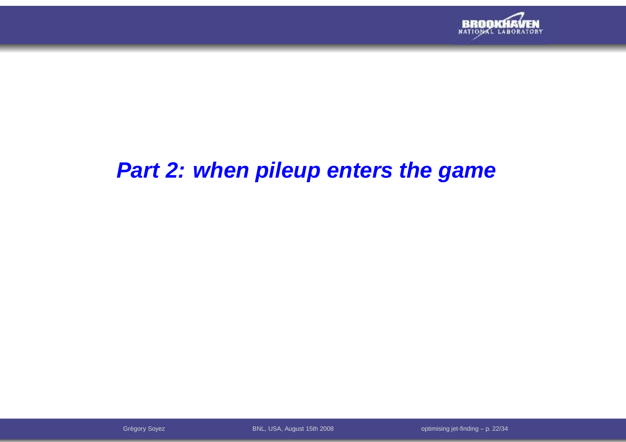

# **Part 2: when pileup enters the game**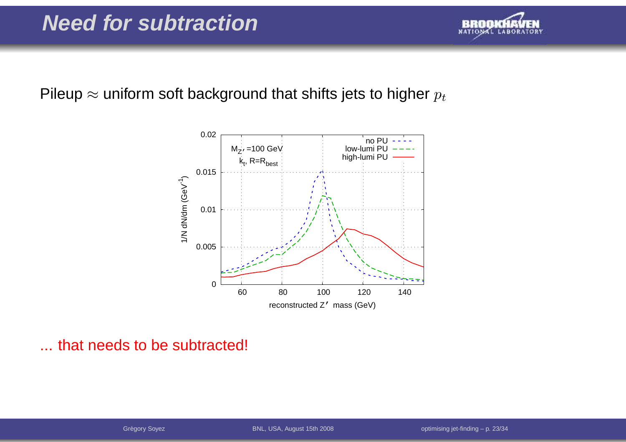

# Pileup  $\approx$  uniform soft background that shifts jets to higher  $p_t$



... that needs to be subtracted!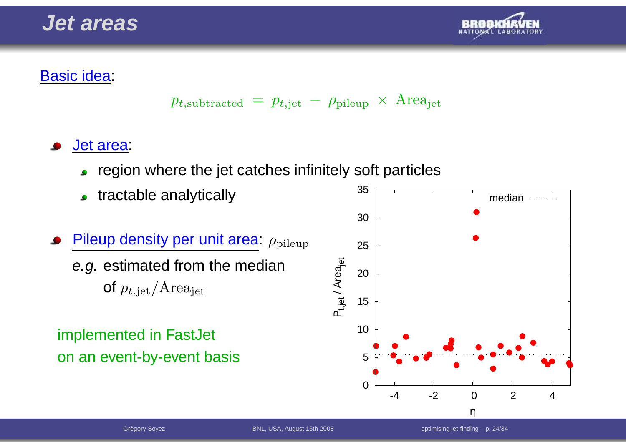



### Basic idea:

$$
p_{t,subtracted} = p_{t, jet} - \rho_{pileup} \times \text{Area}_{jet}
$$

### Jet area:

- region where the jet catches infinitely soft particles $\bullet$
- tractable analytically $\bullet$
- Pileup density per unit area:  $\rho_{\text{pileup}}$ *e.g.* estimated from the median of  $p_{t,\text{jet}}/Area_{\text{jet}}$

### implemented in FastJet on an event-by-event basis

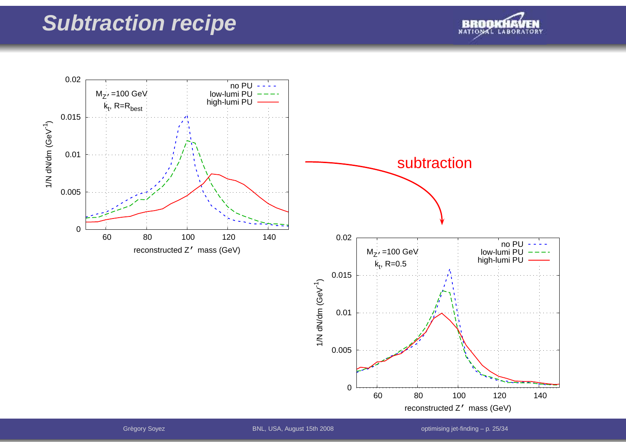### **Subtraction recipe**





Grégory Soyez **BNL, USA, August 15th 2008** 

optimising jet-finding  $-$  p. 25/34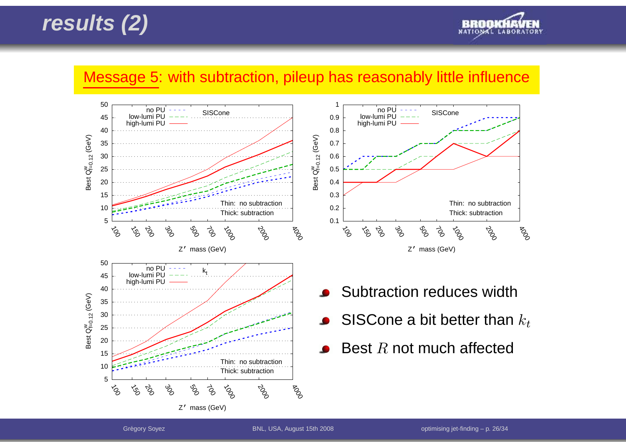



#### Message 5: with subtraction, pileup has reasonably little influence





- Subtraction reduces width
- SISCone a bit better than  $k_t$
- Best  $R$  not much affected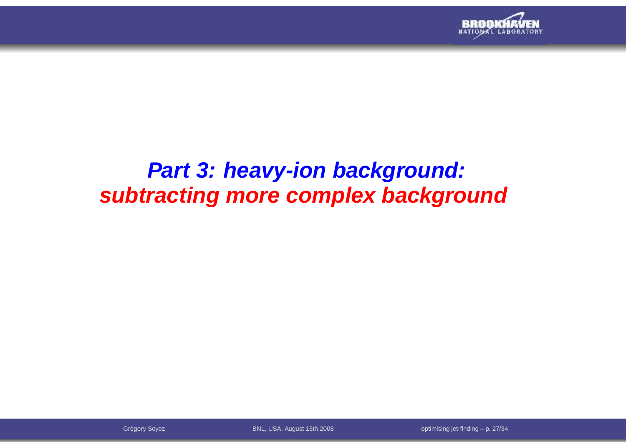

# **Part 3: heavy-ion background:subtracting more complex background**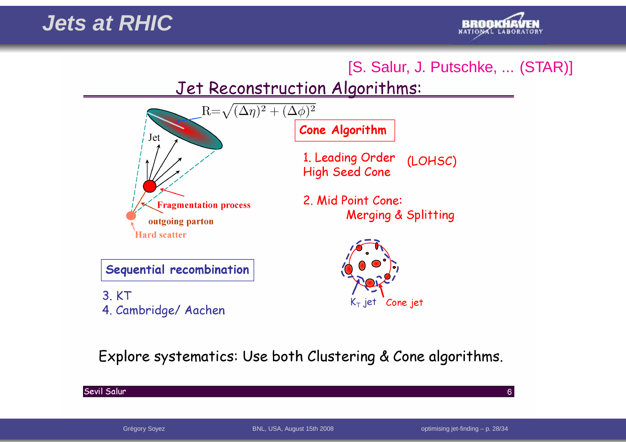

### [S. Salur, J. Putschke, ... (STAR)]

### Jet Reconstruction Algorithms:



3. KT 4. Cambridge/ Aachen

 $K_{\text{T}}$  jet Cone jet

### Explore systematics: Use both Clustering & Cone algorithms.

#### Sevil Salur

 $6<sup>1</sup>$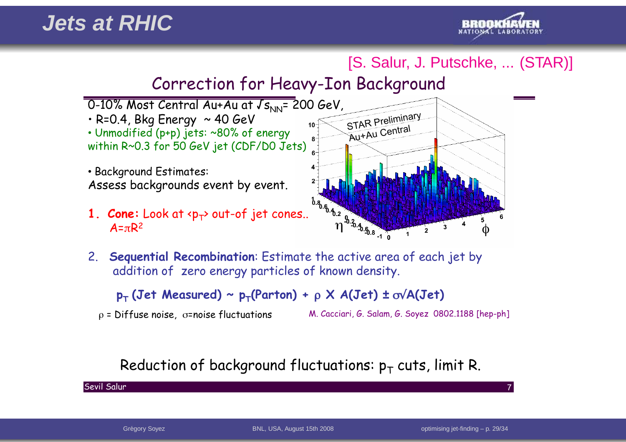

### [S. Salur, J. Putschke, ... (STAR)]

### Correction for Heavy-Ion Background



2. **Sequential Recombination**: Estimate the active area of each jet byaddition of zero energy particles of known density.

**p**<sub>T</sub> (Jet Measured) ~  $p_T$ (Parton) +  $\rho$  X A(Jet)  $\pm$  ov/A(Jet)

 $p =$  Diffuse noise,  $\sigma$ =noise fluctuations M. Cacciari, G. Salam, G. Soyez 0802.1188 [hep-ph]

### Reduction of background fluctuations:  $p_T$  cuts, limit R.

Sevil Salur $\mathsf{r}$  , and the contract of the contract of the contract of the contract of the contract of the contract of the contract of the contract of the contract of the contract of the contract of the contract of the contract o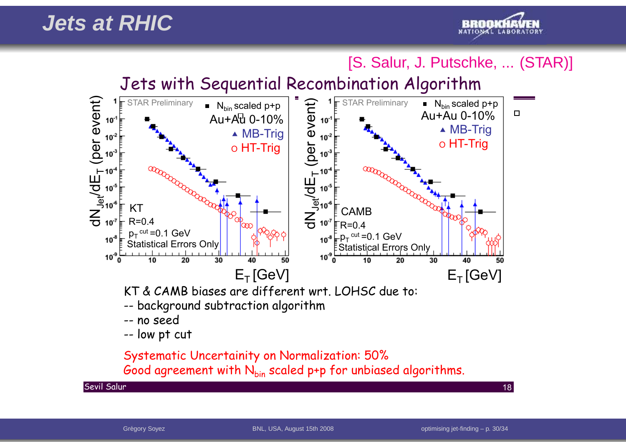### **Jets at RHIC**



[S. Salur, J. Putschke, ... (STAR)]

Jets with Sequential Recombination Algorithm



KT & CAMB biases are different wrt. LOHSC due to:

- -- background subtraction algorithm
- -- no seed
- -- low pt cut

Systematic Uncertainity on Normalization: 50% Good agreement with  $N_{bin}$  scaled p+p for unbiased algorithms.

Sevil Salur

r and the set of the set of the set of the set of the set of the set of the set of the set of the  $18\,$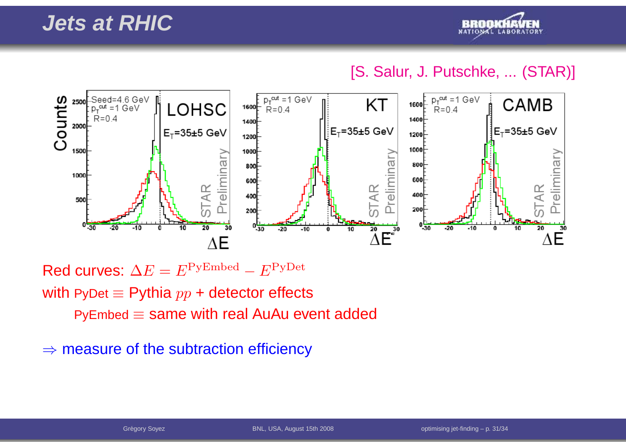

### [S. Salur, J. Putschke, ... (STAR)]



Red curves:  $\Delta E = E^{\rm PyEmbed} - E^{\rm PyDet}$ with PyDet  $\equiv$  Pythia  $pp$  + detector effects

PyEmbed  $\equiv$  same with real AuAu event added

 $\Rightarrow$  measure of the subtraction efficiency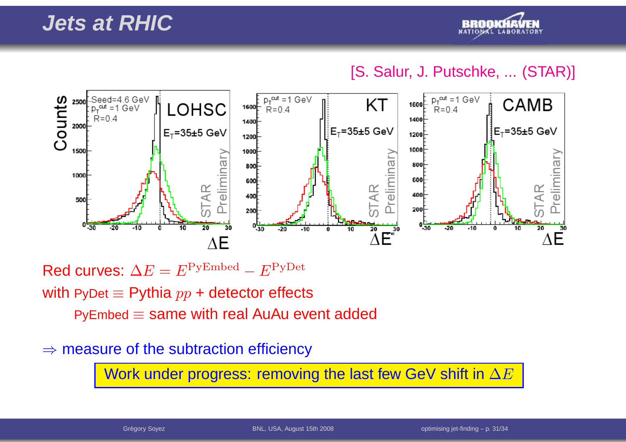

### [S. Salur, J. Putschke, ... (STAR)]



Red curves:  $\Delta E = E^{\rm PyEmbed} - E^{\rm PyDet}$ 

with PyDet  $\equiv$  Pythia  $pp$  + detector effects

PyEmbed  $\equiv$  same with real AuAu event added

# ⇒ measure of the subtraction efficiency

Work under progress: removing the last few GeV shift in  $\Delta E$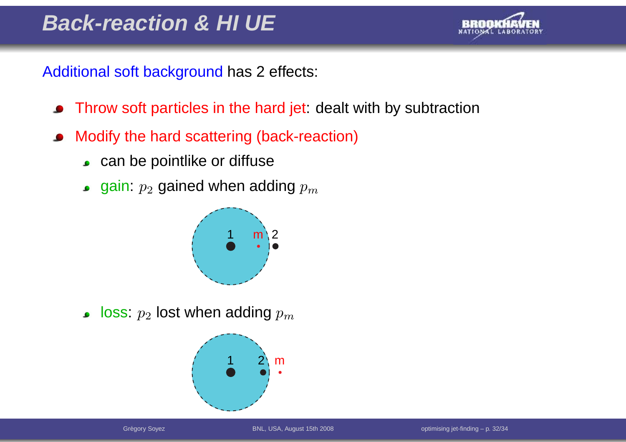

Additional soft background has <sup>2</sup> effects:

- Throw soft particles in the hard jet: dealt with by subtraction $\bullet$
- Modify the hard scattering (back-reaction) $\bullet$ 
	- can be pointlike or diffuse
	- gain:  $p_2$  $_{2}$  gained when adding  $p_{m}$



loss:  $p_{\rm 2}$  $_{2}$  lost when adding  $p_{m}$ 

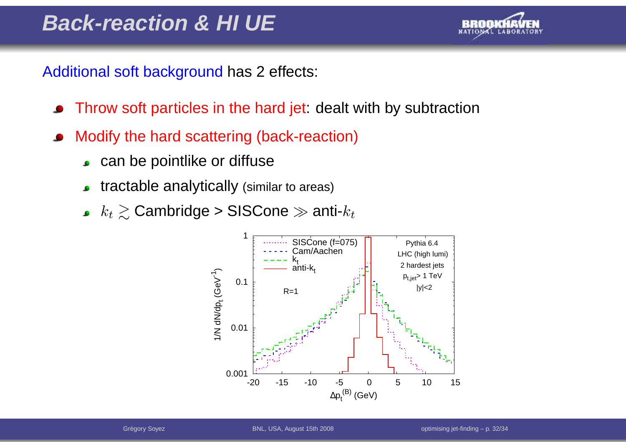

Additional soft background has <sup>2</sup> effects:

- Throw soft particles in the hard jet: dealt with by subtraction
- Modify the hard scattering (back-reaction)
	- can be pointlike or diffuse
	- tractable analytically (similar to areas)
	- $k_t \gtrsim$  Cambridge > SISCone  $\gg$  anti- $k_t$

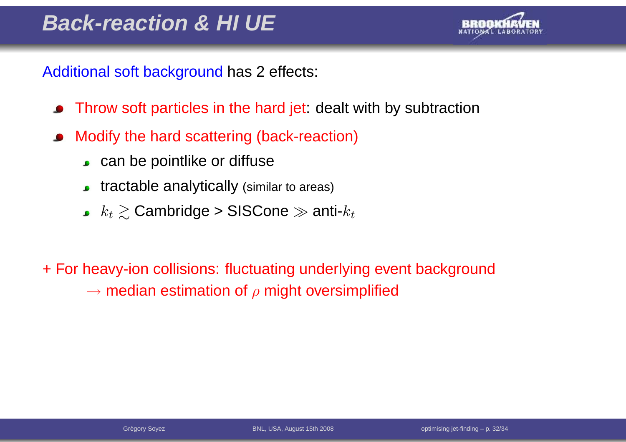

Additional soft background has <sup>2</sup> effects:

- Throw soft particles in the hard jet: dealt with by subtraction $\bullet$
- Modify the hard scattering (back-reaction) $\bullet$ 
	- can be pointlike or diffuse
	- tractable analytically (similar to areas)
	- $k_t \gtrsim$  Cambridge > SISCone  $\gg$  anti- $k_t$

+ For heavy-ion collisions: fluctuating underlying event background $\rightarrow$  median estimation of  $\rho$  might oversimplified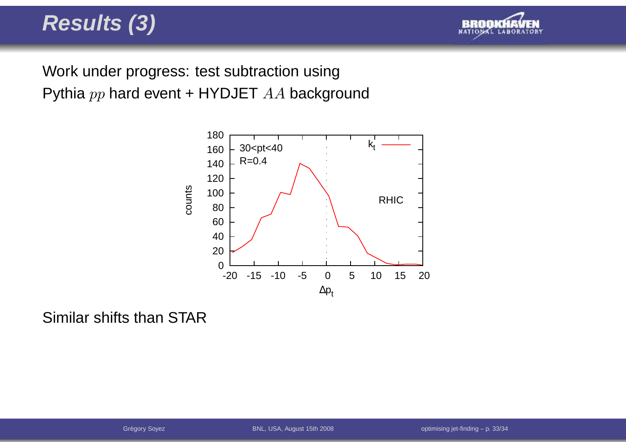# **Results (3)**



Work under progress: test subtraction usingPythia  $pp$  hard event + HYDJET  $AA$  background



Similar shifts than STAR

Grégory Soyez BNL, USA, August 15th 2008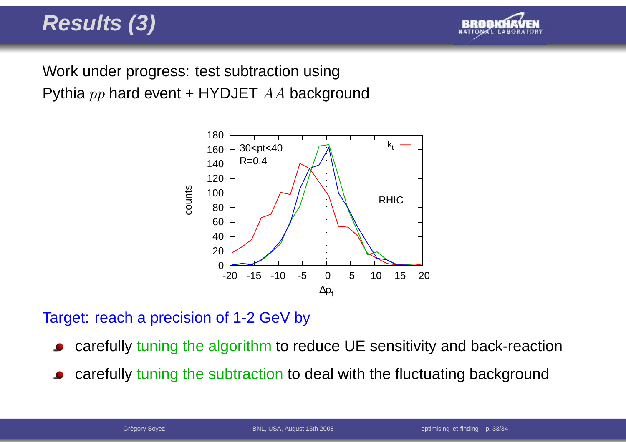# **Results (3)**



Work under progress: test subtraction usingPythia  $pp$  hard event + HYDJET  $AA$  background



Target: reach <sup>a</sup> precision of 1-2 GeV by

- carefully tuning the algorithm to reduce UE sensitivity and back-reaction
- carefully tuning the subtraction to deal with the fluctuating background  $\bullet$